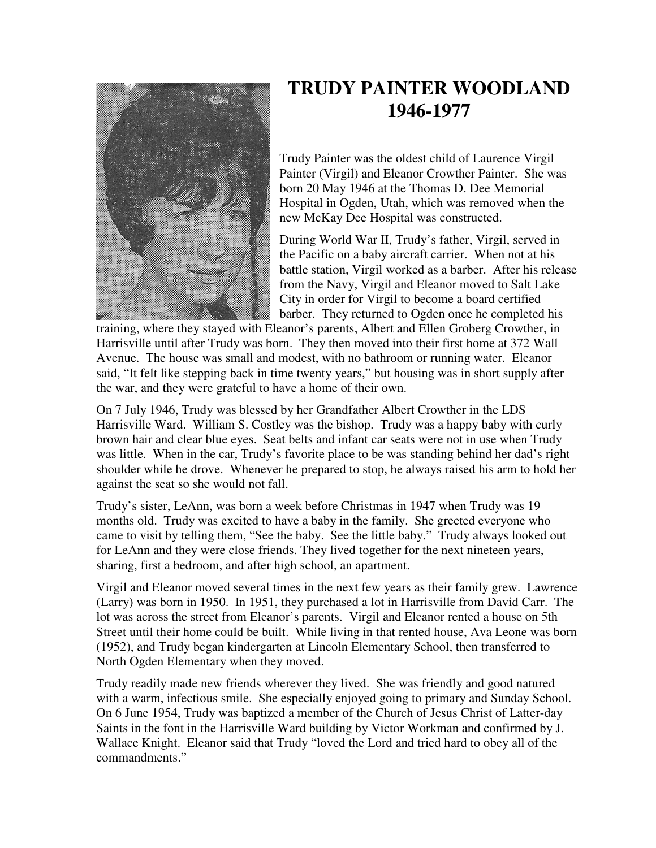

## **TRUDY PAINTER WOODLAND 1946-1977**

Trudy Painter was the oldest child of Laurence Virgil Painter (Virgil) and Eleanor Crowther Painter. She was born 20 May 1946 at the Thomas D. Dee Memorial Hospital in Ogden, Utah, which was removed when the new McKay Dee Hospital was constructed.

During World War II, Trudy's father, Virgil, served in the Pacific on a baby aircraft carrier. When not at his battle station, Virgil worked as a barber. After his release from the Navy, Virgil and Eleanor moved to Salt Lake City in order for Virgil to become a board certified barber. They returned to Ogden once he completed his

training, where they stayed with Eleanor's parents, Albert and Ellen Groberg Crowther, in Harrisville until after Trudy was born. They then moved into their first home at 372 Wall Avenue. The house was small and modest, with no bathroom or running water. Eleanor said, "It felt like stepping back in time twenty years," but housing was in short supply after the war, and they were grateful to have a home of their own.

On 7 July 1946, Trudy was blessed by her Grandfather Albert Crowther in the LDS Harrisville Ward. William S. Costley was the bishop. Trudy was a happy baby with curly brown hair and clear blue eyes. Seat belts and infant car seats were not in use when Trudy was little. When in the car, Trudy's favorite place to be was standing behind her dad's right shoulder while he drove. Whenever he prepared to stop, he always raised his arm to hold her against the seat so she would not fall.

Trudy's sister, LeAnn, was born a week before Christmas in 1947 when Trudy was 19 months old. Trudy was excited to have a baby in the family. She greeted everyone who came to visit by telling them, "See the baby. See the little baby." Trudy always looked out for LeAnn and they were close friends. They lived together for the next nineteen years, sharing, first a bedroom, and after high school, an apartment.

Virgil and Eleanor moved several times in the next few years as their family grew. Lawrence (Larry) was born in 1950. In 1951, they purchased a lot in Harrisville from David Carr. The lot was across the street from Eleanor's parents. Virgil and Eleanor rented a house on 5th Street until their home could be built. While living in that rented house, Ava Leone was born (1952), and Trudy began kindergarten at Lincoln Elementary School, then transferred to North Ogden Elementary when they moved.

Trudy readily made new friends wherever they lived. She was friendly and good natured with a warm, infectious smile. She especially enjoyed going to primary and Sunday School. On 6 June 1954, Trudy was baptized a member of the Church of Jesus Christ of Latter-day Saints in the font in the Harrisville Ward building by Victor Workman and confirmed by J. Wallace Knight. Eleanor said that Trudy "loved the Lord and tried hard to obey all of the commandments."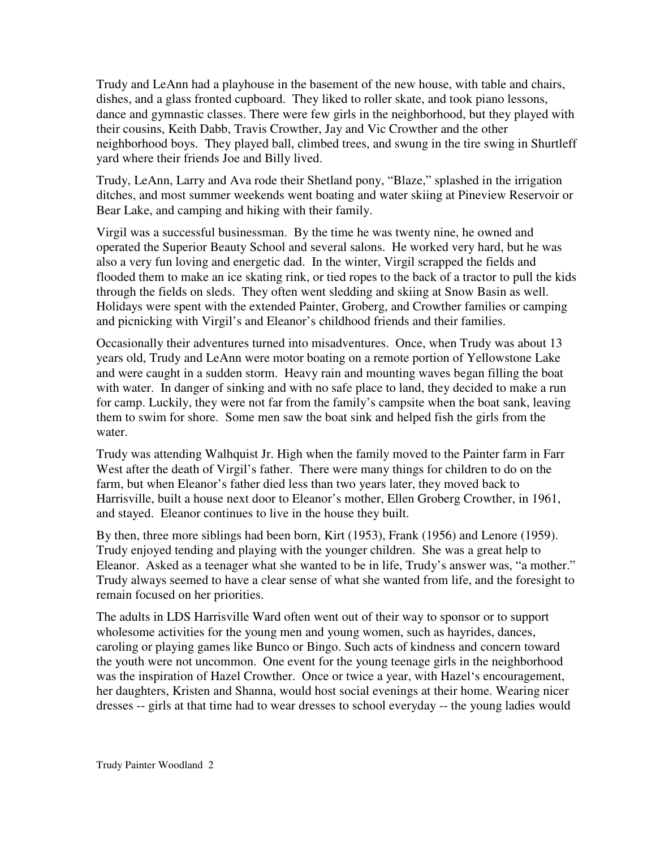Trudy and LeAnn had a playhouse in the basement of the new house, with table and chairs, dishes, and a glass fronted cupboard. They liked to roller skate, and took piano lessons, dance and gymnastic classes. There were few girls in the neighborhood, but they played with their cousins, Keith Dabb, Travis Crowther, Jay and Vic Crowther and the other neighborhood boys. They played ball, climbed trees, and swung in the tire swing in Shurtleff yard where their friends Joe and Billy lived.

Trudy, LeAnn, Larry and Ava rode their Shetland pony, "Blaze," splashed in the irrigation ditches, and most summer weekends went boating and water skiing at Pineview Reservoir or Bear Lake, and camping and hiking with their family.

Virgil was a successful businessman. By the time he was twenty nine, he owned and operated the Superior Beauty School and several salons. He worked very hard, but he was also a very fun loving and energetic dad. In the winter, Virgil scrapped the fields and flooded them to make an ice skating rink, or tied ropes to the back of a tractor to pull the kids through the fields on sleds. They often went sledding and skiing at Snow Basin as well. Holidays were spent with the extended Painter, Groberg, and Crowther families or camping and picnicking with Virgil's and Eleanor's childhood friends and their families.

Occasionally their adventures turned into misadventures. Once, when Trudy was about 13 years old, Trudy and LeAnn were motor boating on a remote portion of Yellowstone Lake and were caught in a sudden storm. Heavy rain and mounting waves began filling the boat with water. In danger of sinking and with no safe place to land, they decided to make a run for camp. Luckily, they were not far from the family's campsite when the boat sank, leaving them to swim for shore. Some men saw the boat sink and helped fish the girls from the water.

Trudy was attending Walhquist Jr. High when the family moved to the Painter farm in Farr West after the death of Virgil's father. There were many things for children to do on the farm, but when Eleanor's father died less than two years later, they moved back to Harrisville, built a house next door to Eleanor's mother, Ellen Groberg Crowther, in 1961, and stayed. Eleanor continues to live in the house they built.

By then, three more siblings had been born, Kirt (1953), Frank (1956) and Lenore (1959). Trudy enjoyed tending and playing with the younger children. She was a great help to Eleanor. Asked as a teenager what she wanted to be in life, Trudy's answer was, "a mother." Trudy always seemed to have a clear sense of what she wanted from life, and the foresight to remain focused on her priorities.

The adults in LDS Harrisville Ward often went out of their way to sponsor or to support wholesome activities for the young men and young women, such as hayrides, dances, caroling or playing games like Bunco or Bingo. Such acts of kindness and concern toward the youth were not uncommon. One event for the young teenage girls in the neighborhood was the inspiration of Hazel Crowther. Once or twice a year, with Hazel's encouragement, her daughters, Kristen and Shanna, would host social evenings at their home. Wearing nicer dresses -- girls at that time had to wear dresses to school everyday -- the young ladies would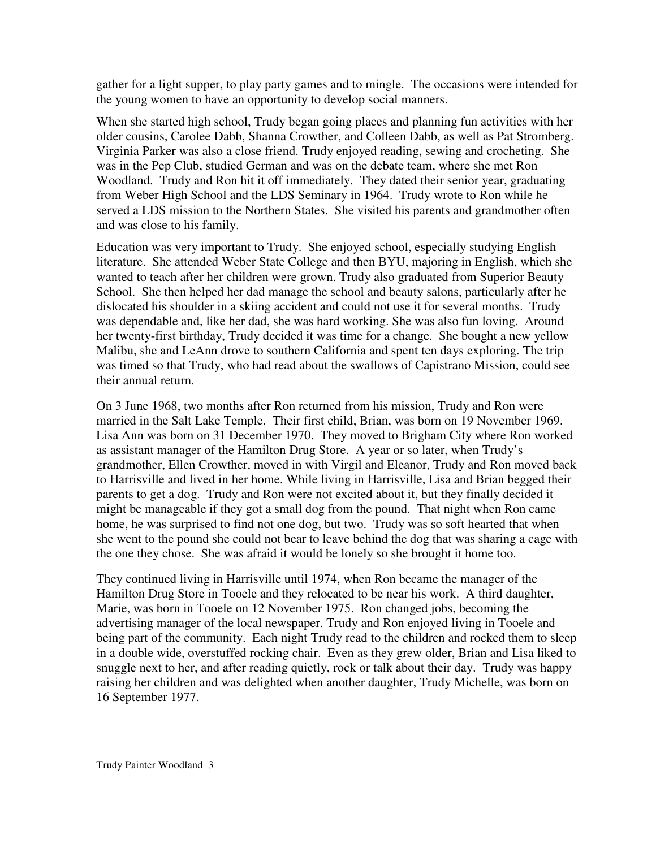gather for a light supper, to play party games and to mingle. The occasions were intended for the young women to have an opportunity to develop social manners.

When she started high school, Trudy began going places and planning fun activities with her older cousins, Carolee Dabb, Shanna Crowther, and Colleen Dabb, as well as Pat Stromberg. Virginia Parker was also a close friend. Trudy enjoyed reading, sewing and crocheting. She was in the Pep Club, studied German and was on the debate team, where she met Ron Woodland. Trudy and Ron hit it off immediately. They dated their senior year, graduating from Weber High School and the LDS Seminary in 1964. Trudy wrote to Ron while he served a LDS mission to the Northern States. She visited his parents and grandmother often and was close to his family.

Education was very important to Trudy. She enjoyed school, especially studying English literature. She attended Weber State College and then BYU, majoring in English, which she wanted to teach after her children were grown. Trudy also graduated from Superior Beauty School. She then helped her dad manage the school and beauty salons, particularly after he dislocated his shoulder in a skiing accident and could not use it for several months. Trudy was dependable and, like her dad, she was hard working. She was also fun loving. Around her twenty-first birthday, Trudy decided it was time for a change. She bought a new yellow Malibu, she and LeAnn drove to southern California and spent ten days exploring. The trip was timed so that Trudy, who had read about the swallows of Capistrano Mission, could see their annual return.

On 3 June 1968, two months after Ron returned from his mission, Trudy and Ron were married in the Salt Lake Temple. Their first child, Brian, was born on 19 November 1969. Lisa Ann was born on 31 December 1970. They moved to Brigham City where Ron worked as assistant manager of the Hamilton Drug Store. A year or so later, when Trudy's grandmother, Ellen Crowther, moved in with Virgil and Eleanor, Trudy and Ron moved back to Harrisville and lived in her home. While living in Harrisville, Lisa and Brian begged their parents to get a dog. Trudy and Ron were not excited about it, but they finally decided it might be manageable if they got a small dog from the pound. That night when Ron came home, he was surprised to find not one dog, but two. Trudy was so soft hearted that when she went to the pound she could not bear to leave behind the dog that was sharing a cage with the one they chose. She was afraid it would be lonely so she brought it home too.

They continued living in Harrisville until 1974, when Ron became the manager of the Hamilton Drug Store in Tooele and they relocated to be near his work. A third daughter, Marie, was born in Tooele on 12 November 1975. Ron changed jobs, becoming the advertising manager of the local newspaper. Trudy and Ron enjoyed living in Tooele and being part of the community. Each night Trudy read to the children and rocked them to sleep in a double wide, overstuffed rocking chair. Even as they grew older, Brian and Lisa liked to snuggle next to her, and after reading quietly, rock or talk about their day. Trudy was happy raising her children and was delighted when another daughter, Trudy Michelle, was born on 16 September 1977.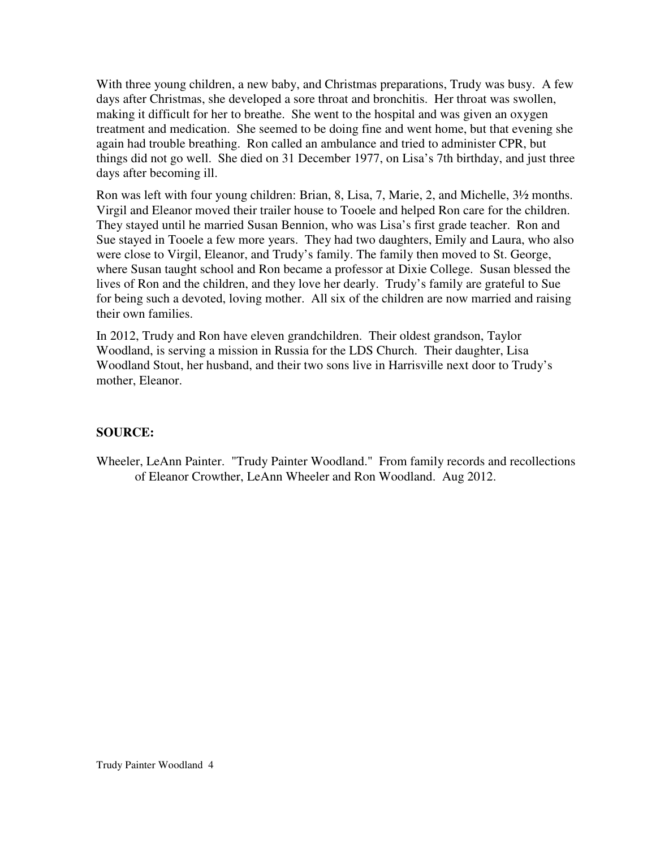With three young children, a new baby, and Christmas preparations, Trudy was busy. A few days after Christmas, she developed a sore throat and bronchitis. Her throat was swollen, making it difficult for her to breathe. She went to the hospital and was given an oxygen treatment and medication. She seemed to be doing fine and went home, but that evening she again had trouble breathing. Ron called an ambulance and tried to administer CPR, but things did not go well. She died on 31 December 1977, on Lisa's 7th birthday, and just three days after becoming ill.

Ron was left with four young children: Brian, 8, Lisa, 7, Marie, 2, and Michelle, 3½ months. Virgil and Eleanor moved their trailer house to Tooele and helped Ron care for the children. They stayed until he married Susan Bennion, who was Lisa's first grade teacher. Ron and Sue stayed in Tooele a few more years. They had two daughters, Emily and Laura, who also were close to Virgil, Eleanor, and Trudy's family. The family then moved to St. George, where Susan taught school and Ron became a professor at Dixie College. Susan blessed the lives of Ron and the children, and they love her dearly. Trudy's family are grateful to Sue for being such a devoted, loving mother. All six of the children are now married and raising their own families.

In 2012, Trudy and Ron have eleven grandchildren. Their oldest grandson, Taylor Woodland, is serving a mission in Russia for the LDS Church. Their daughter, Lisa Woodland Stout, her husband, and their two sons live in Harrisville next door to Trudy's mother, Eleanor.

## **SOURCE:**

Wheeler, LeAnn Painter. "Trudy Painter Woodland." From family records and recollections of Eleanor Crowther, LeAnn Wheeler and Ron Woodland. Aug 2012.